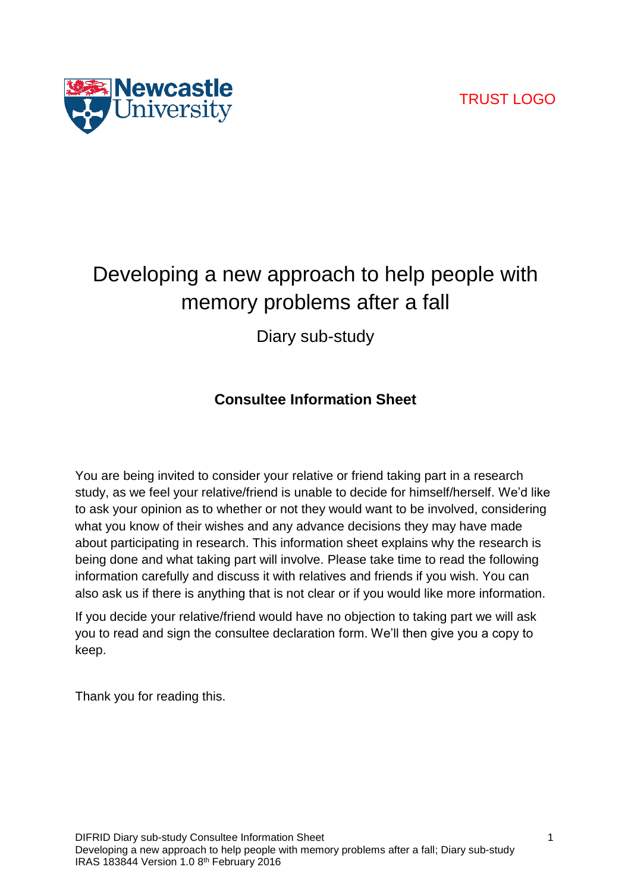# TRUST LOGO



# Developing a new approach to help people with memory problems after a fall

Diary sub-study

# **Consultee Information Sheet**

You are being invited to consider your relative or friend taking part in a research study, as we feel your relative/friend is unable to decide for himself/herself. We'd like to ask your opinion as to whether or not they would want to be involved, considering what you know of their wishes and any advance decisions they may have made about participating in research. This information sheet explains why the research is being done and what taking part will involve. Please take time to read the following information carefully and discuss it with relatives and friends if you wish. You can also ask us if there is anything that is not clear or if you would like more information.

If you decide your relative/friend would have no objection to taking part we will ask you to read and sign the consultee declaration form. We'll then give you a copy to keep.

Thank you for reading this.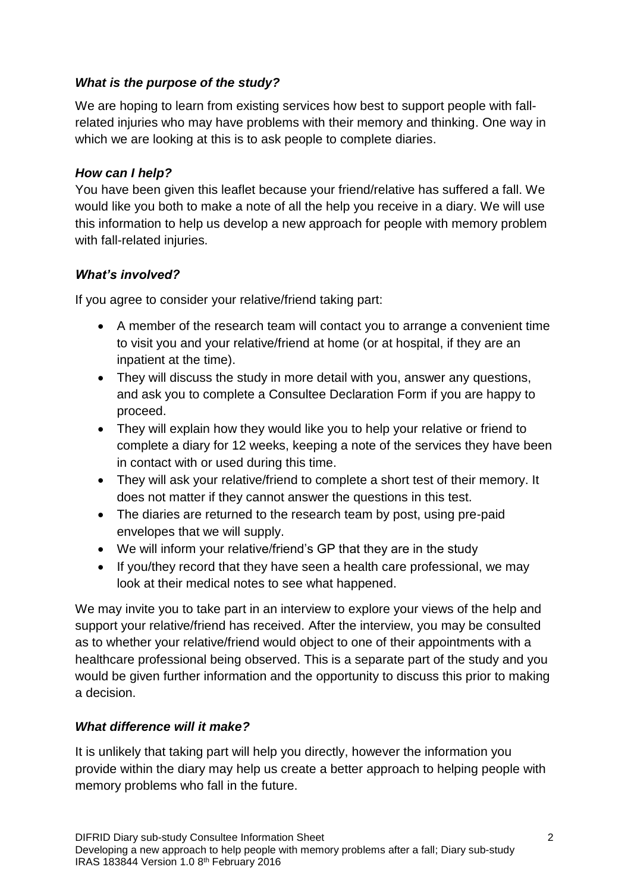## *What is the purpose of the study?*

We are hoping to learn from existing services how best to support people with fallrelated injuries who may have problems with their memory and thinking. One way in which we are looking at this is to ask people to complete diaries.

#### *How can I help?*

You have been given this leaflet because your friend/relative has suffered a fall. We would like you both to make a note of all the help you receive in a diary. We will use this information to help us develop a new approach for people with memory problem with fall-related injuries.

### *What's involved?*

If you agree to consider your relative/friend taking part:

- A member of the research team will contact you to arrange a convenient time to visit you and your relative/friend at home (or at hospital, if they are an inpatient at the time).
- They will discuss the study in more detail with you, answer any questions, and ask you to complete a Consultee Declaration Form if you are happy to proceed.
- They will explain how they would like you to help your relative or friend to complete a diary for 12 weeks, keeping a note of the services they have been in contact with or used during this time.
- They will ask your relative/friend to complete a short test of their memory. It does not matter if they cannot answer the questions in this test.
- The diaries are returned to the research team by post, using pre-paid envelopes that we will supply.
- We will inform your relative/friend's GP that they are in the study
- If you/they record that they have seen a health care professional, we may look at their medical notes to see what happened.

We may invite you to take part in an interview to explore your views of the help and support your relative/friend has received. After the interview, you may be consulted as to whether your relative/friend would object to one of their appointments with a healthcare professional being observed. This is a separate part of the study and you would be given further information and the opportunity to discuss this prior to making a decision.

# *What difference will it make?*

It is unlikely that taking part will help you directly, however the information you provide within the diary may help us create a better approach to helping people with memory problems who fall in the future.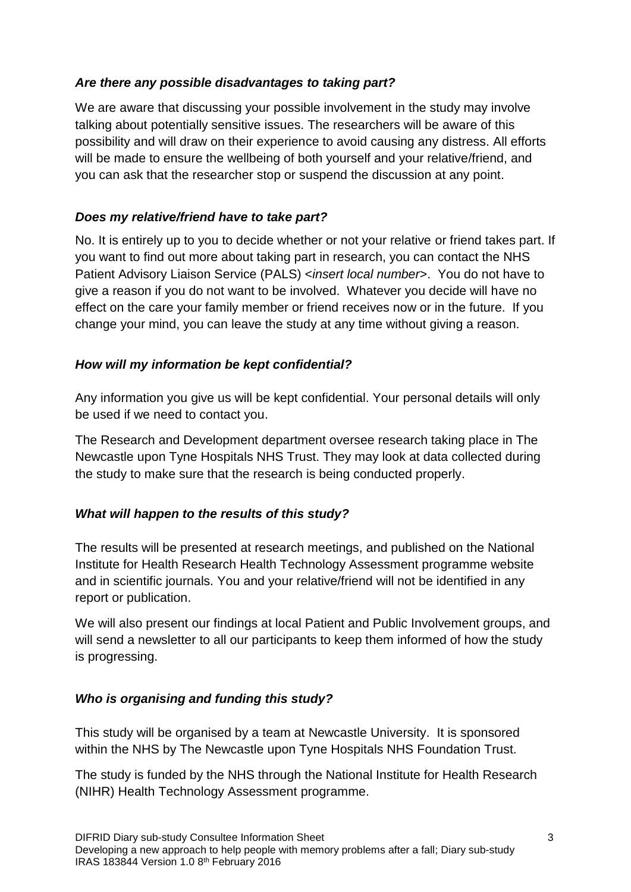# *Are there any possible disadvantages to taking part?*

We are aware that discussing your possible involvement in the study may involve talking about potentially sensitive issues. The researchers will be aware of this possibility and will draw on their experience to avoid causing any distress. All efforts will be made to ensure the wellbeing of both yourself and your relative/friend, and you can ask that the researcher stop or suspend the discussion at any point.

# *Does my relative/friend have to take part?*

No. It is entirely up to you to decide whether or not your relative or friend takes part. If you want to find out more about taking part in research, you can contact the NHS Patient Advisory Liaison Service (PALS) <*insert local number*>. You do not have to give a reason if you do not want to be involved. Whatever you decide will have no effect on the care your family member or friend receives now or in the future. If you change your mind, you can leave the study at any time without giving a reason.

### *How will my information be kept confidential?*

Any information you give us will be kept confidential. Your personal details will only be used if we need to contact you.

The Research and Development department oversee research taking place in The Newcastle upon Tyne Hospitals NHS Trust. They may look at data collected during the study to make sure that the research is being conducted properly.

#### *What will happen to the results of this study?*

The results will be presented at research meetings, and published on the National Institute for Health Research Health Technology Assessment programme website and in scientific journals. You and your relative/friend will not be identified in any report or publication.

We will also present our findings at local Patient and Public Involvement groups, and will send a newsletter to all our participants to keep them informed of how the study is progressing.

#### *Who is organising and funding this study?*

This study will be organised by a team at Newcastle University. It is sponsored within the NHS by The Newcastle upon Tyne Hospitals NHS Foundation Trust.

The study is funded by the NHS through the National Institute for Health Research (NIHR) Health Technology Assessment programme.